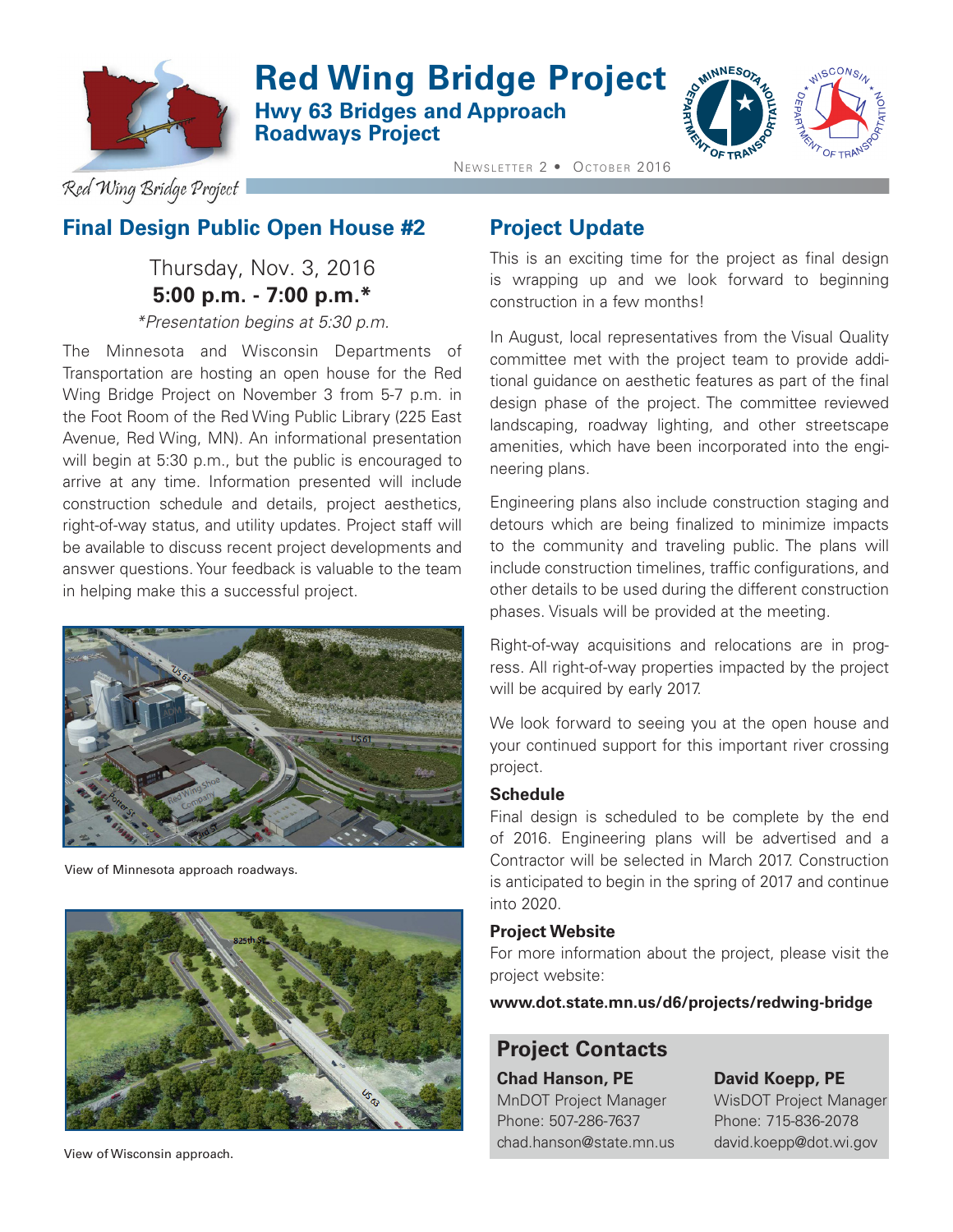

## **Red Wing Bridge Project Hwy 63 Bridges and Approach Roadways Project**



Red Wing Bridge Project

## **Final Design Public Open House #2**

## Thursday, Nov. 3, 2016 **5:00 p.m. - 7:00 p.m.\***

*\*Presentation begins at 5:30 p.m.*

The Minnesota and Wisconsin Departments of Transportation are hosting an open house for the Red Wing Bridge Project on November 3 from 5-7 p.m. in the Foot Room of the Red Wing Public Library (225 East Avenue, Red Wing, MN). An informational presentation will begin at 5:30 p.m., but the public is encouraged to arrive at any time. Information presented will include construction schedule and details, project aesthetics, right-of-way status, and utility updates. Project staff will be available to discuss recent project developments and answer questions. Your feedback is valuable to the team in helping make this a successful project.



View of Minnesota approach roadways.



### **Project Update**

NEWSLETTER 2 · OCTOBER 2016

This is an exciting time for the project as final design is wrapping up and we look forward to beginning construction in a few months!

In August, local representatives from the Visual Quality committee met with the project team to provide additional guidance on aesthetic features as part of the final design phase of the project. The committee reviewed landscaping, roadway lighting, and other streetscape amenities, which have been incorporated into the engineering plans.

Engineering plans also include construction staging and detours which are being finalized to minimize impacts to the community and traveling public. The plans will include construction timelines, traffic configurations, and other details to be used during the different construction phases. Visuals will be provided at the meeting.

Right-of-way acquisitions and relocations are in progress. All right-of-way properties impacted by the project will be acquired by early 2017.

We look forward to seeing you at the open house and your continued support for this important river crossing project.

#### **Schedule**

Final design is scheduled to be complete by the end of 2016. Engineering plans will be advertised and a Contractor will be selected in March 2017. Construction is anticipated to begin in the spring of 2017 and continue into 2020.

#### **Project Website**

For more information about the project, please visit the project website:

**www.dot.state.mn.us/d6/projects/redwing-bridge**

## **Project Contacts**

**Chad Hanson, PE David Koepp, PE** MnDOT Project Manager WisDOT Project Manager Phone: 507-286-7637 Phone: 715-836-2078